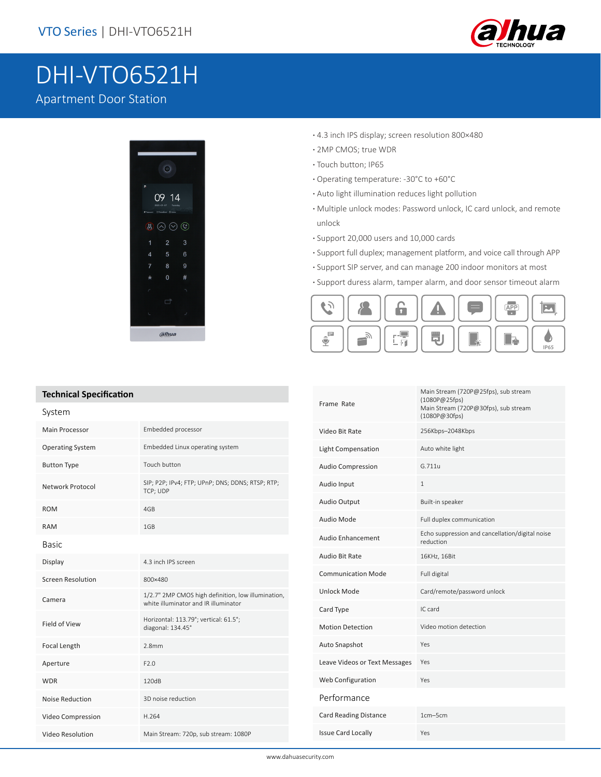

# DHI-VTO6521H

## Apartment Door Station



- **·** 4.3 inch IPS display; screen resolution 800×480
- **·** 2MP CMOS; true WDR
- **·** Touch button; IP65
- **·** Operating temperature: -30°C to +60°C
- **·** Auto light illumination reduces light pollution
- **·** Multiple unlock modes: Password unlock, IC card unlock, and remote unlock
- **·** Support 20,000 users and 10,000 cards
- **·** Support full duplex; management platform, and voice call through APP
- **·** Support SIP server, and can manage 200 indoor monitors at most
- **·** Support duress alarm, tamper alarm, and door sensor timeout alarm



Main Stream (720P@25fps), sub stream

|  | <b>ICCITILICAL SPECIFICATION</b> |                                                                                            | Frame Rate                    | (1080P@25fps)                                                |
|--|----------------------------------|--------------------------------------------------------------------------------------------|-------------------------------|--------------------------------------------------------------|
|  | System                           |                                                                                            |                               | Main Stream (720P@30fps), sub stream<br>(1080P@30fps)        |
|  | Main Processor                   | Embedded processor                                                                         | Video Bit Rate                | 256Kbps-2048Kbps                                             |
|  | <b>Operating System</b>          | Embedded Linux operating system                                                            | Light Compensation            | Auto white light                                             |
|  | <b>Button Type</b>               | Touch button                                                                               | <b>Audio Compression</b>      | G.711u                                                       |
|  | <b>Network Protocol</b>          | SIP; P2P; IPv4; FTP; UPnP; DNS; DDNS; RTSP; RTP;<br>TCP; UDP                               | Audio Input                   | $\mathbf{1}$                                                 |
|  | <b>ROM</b>                       | 4GB                                                                                        | Audio Output                  | Built-in speaker                                             |
|  | <b>RAM</b>                       | 1GB                                                                                        | Audio Mode                    | Full duplex communication                                    |
|  | <b>Basic</b>                     |                                                                                            | <b>Audio Enhancement</b>      | Echo suppression and cancellation/digital noise<br>reduction |
|  | Display                          | 4.3 inch IPS screen                                                                        | Audio Bit Rate                | 16KHz, 16Bit                                                 |
|  | <b>Screen Resolution</b>         | 800×480                                                                                    | <b>Communication Mode</b>     | Full digital                                                 |
|  | Camera                           | 1/2.7" 2MP CMOS high definition, low illumination,<br>white illuminator and IR illuminator | <b>Unlock Mode</b>            | Card/remote/password unlock                                  |
|  |                                  |                                                                                            | Card Type                     | IC card                                                      |
|  | Field of View                    | Horizontal: 113.79°; vertical: 61.5°;<br>diagonal: 134.45°                                 | <b>Motion Detection</b>       | Video motion detection                                       |
|  | Focal Length                     | 2.8 <sub>mm</sub>                                                                          | Auto Snapshot                 | Yes                                                          |
|  | Aperture                         | F2.0                                                                                       | Leave Videos or Text Messages | Yes                                                          |
|  | <b>WDR</b>                       | 120dB                                                                                      | Web Configuration             | Yes                                                          |
|  | <b>Noise Reduction</b>           | 3D noise reduction                                                                         | Performance                   |                                                              |
|  | Video Compression                | H.264                                                                                      | <b>Card Reading Distance</b>  | 1cm-5cm                                                      |
|  | <b>Video Resolution</b>          | Main Stream: 720p, sub stream: 1080P                                                       | <b>Issue Card Locally</b>     | Yes                                                          |

#### **Technical Specification**